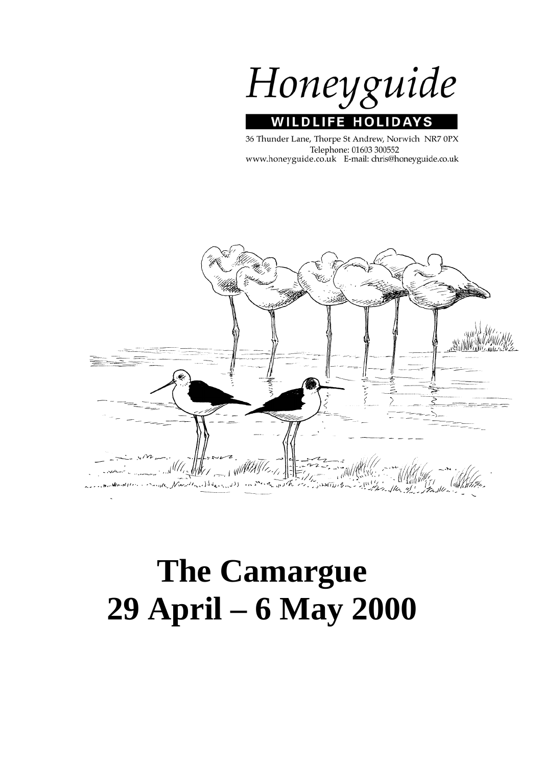Honeyguide **WILDLIFE HOLIDAY** S

36 Thunder Lane, Thorpe St Andrew, Norwich NR7 0PX Telephone: 01603 300552 www.honeyguide.co.uk E-mail: chris@honeyguide.co.uk



# **The Camargue 29 April – 6 May 2000**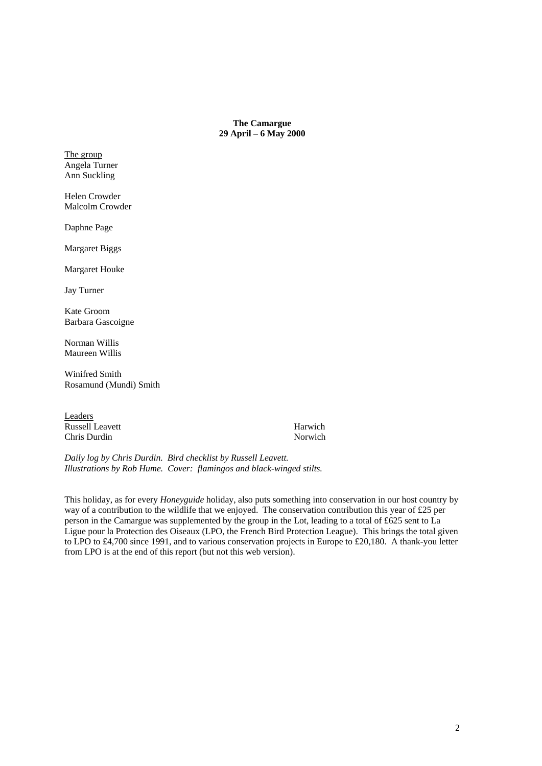#### **The Camargue 29 April – 6 May 2000**

The group Angela Turner Ann Suckling

Helen Crowder Malcolm Crowder

Daphne Page

Margaret Biggs

Margaret Houke

Jay Turner

Kate Groom Barbara Gascoigne

Norman Willis Maureen Willis

Winifred Smith Rosamund (Mundi) Smith

Leaders Russell Leavett Harwich Chris Durdin Norwich

*Daily log by Chris Durdin. Bird checklist by Russell Leavett. Illustrations by Rob Hume. Cover: flamingos and black-winged stilts.* 

This holiday, as for every *Honeyguide* holiday, also puts something into conservation in our host country by way of a contribution to the wildlife that we enjoyed. The conservation contribution this year of £25 per person in the Camargue was supplemented by the group in the Lot, leading to a total of £625 sent to La Ligue pour la Protection des Oiseaux (LPO, the French Bird Protection League). This brings the total given to LPO to £4,700 since 1991, and to various conservation projects in Europe to £20,180. A thank-you letter from LPO is at the end of this report (but not this web version).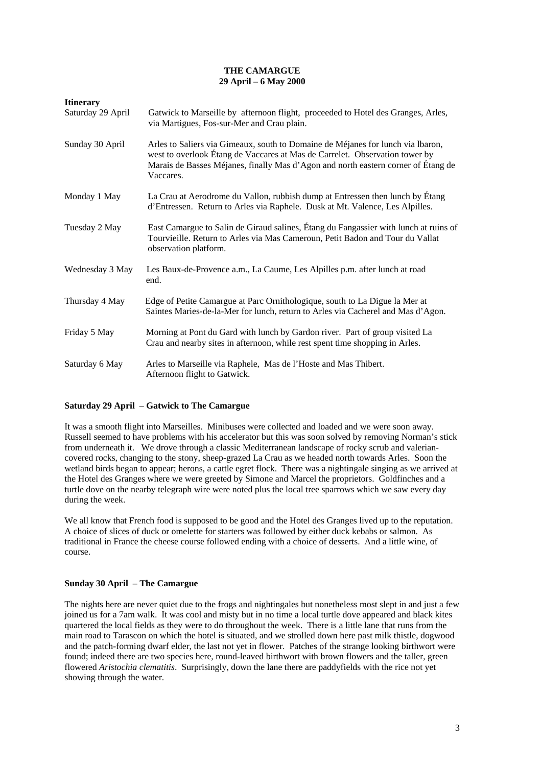#### **THE CAMARGUE 29 April – 6 May 2000**

| <b>Itinerary</b>  |                                                                                                                                                                                                                                                                  |
|-------------------|------------------------------------------------------------------------------------------------------------------------------------------------------------------------------------------------------------------------------------------------------------------|
| Saturday 29 April | Gatwick to Marseille by afternoon flight, proceeded to Hotel des Granges, Arles,<br>via Martigues, Fos-sur-Mer and Crau plain.                                                                                                                                   |
| Sunday 30 April   | Arles to Saliers via Gimeaux, south to Domaine de Méjanes for lunch via Ibaron,<br>west to overlook Étang de Vaccares at Mas de Carrelet. Observation tower by<br>Marais de Basses Méjanes, finally Mas d'Agon and north eastern corner of Étang de<br>Vaccares. |
| Monday 1 May      | La Crau at Aerodrome du Vallon, rubbish dump at Entressen then lunch by Étang<br>d'Entressen. Return to Arles via Raphele. Dusk at Mt. Valence, Les Alpilles.                                                                                                    |
| Tuesday 2 May     | East Camargue to Salin de Giraud salines, Étang du Fangassier with lunch at ruins of<br>Tourvieille. Return to Arles via Mas Cameroun, Petit Badon and Tour du Vallat<br>observation platform.                                                                   |
| Wednesday 3 May   | Les Baux-de-Provence a.m., La Caume, Les Alpilles p.m. after lunch at road<br>end.                                                                                                                                                                               |
| Thursday 4 May    | Edge of Petite Camargue at Parc Ornithologique, south to La Digue la Mer at<br>Saintes Maries-de-la-Mer for lunch, return to Arles via Cacherel and Mas d'Agon.                                                                                                  |
| Friday 5 May      | Morning at Pont du Gard with lunch by Gardon river. Part of group visited La<br>Crau and nearby sites in afternoon, while rest spent time shopping in Arles.                                                                                                     |
| Saturday 6 May    | Arles to Marseille via Raphele, Mas de l'Hoste and Mas Thibert.<br>Afternoon flight to Gatwick.                                                                                                                                                                  |

# **Saturday 29 April** – **Gatwick to The Camargue**

It was a smooth flight into Marseilles. Minibuses were collected and loaded and we were soon away. Russell seemed to have problems with his accelerator but this was soon solved by removing Norman's stick from underneath it. We drove through a classic Mediterranean landscape of rocky scrub and valeriancovered rocks, changing to the stony, sheep-grazed La Crau as we headed north towards Arles. Soon the wetland birds began to appear; herons, a cattle egret flock. There was a nightingale singing as we arrived at the Hotel des Granges where we were greeted by Simone and Marcel the proprietors. Goldfinches and a turtle dove on the nearby telegraph wire were noted plus the local tree sparrows which we saw every day during the week.

We all know that French food is supposed to be good and the Hotel des Granges lived up to the reputation. A choice of slices of duck or omelette for starters was followed by either duck kebabs or salmon. As traditional in France the cheese course followed ending with a choice of desserts. And a little wine, of course.

## **Sunday 30 April** – **The Camargue**

The nights here are never quiet due to the frogs and nightingales but nonetheless most slept in and just a few joined us for a 7am walk. It was cool and misty but in no time a local turtle dove appeared and black kites quartered the local fields as they were to do throughout the week. There is a little lane that runs from the main road to Tarascon on which the hotel is situated, and we strolled down here past milk thistle, dogwood and the patch-forming dwarf elder, the last not yet in flower. Patches of the strange looking birthwort were found; indeed there are two species here, round-leaved birthwort with brown flowers and the taller, green flowered *Aristochia clematitis*. Surprisingly, down the lane there are paddyfields with the rice not yet showing through the water.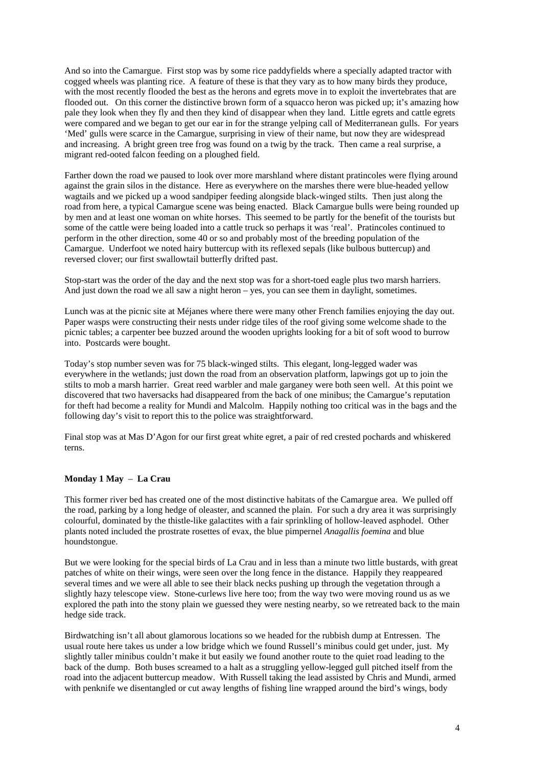And so into the Camargue. First stop was by some rice paddyfields where a specially adapted tractor with cogged wheels was planting rice. A feature of these is that they vary as to how many birds they produce, with the most recently flooded the best as the herons and egrets move in to exploit the invertebrates that are flooded out. On this corner the distinctive brown form of a squacco heron was picked up; it's amazing how pale they look when they fly and then they kind of disappear when they land. Little egrets and cattle egrets were compared and we began to get our ear in for the strange yelping call of Mediterranean gulls. For years 'Med' gulls were scarce in the Camargue, surprising in view of their name, but now they are widespread and increasing. A bright green tree frog was found on a twig by the track. Then came a real surprise, a migrant red-ooted falcon feeding on a ploughed field.

Farther down the road we paused to look over more marshland where distant pratincoles were flying around against the grain silos in the distance. Here as everywhere on the marshes there were blue-headed yellow wagtails and we picked up a wood sandpiper feeding alongside black-winged stilts. Then just along the road from here, a typical Camargue scene was being enacted. Black Camargue bulls were being rounded up by men and at least one woman on white horses. This seemed to be partly for the benefit of the tourists but some of the cattle were being loaded into a cattle truck so perhaps it was 'real'. Pratincoles continued to perform in the other direction, some 40 or so and probably most of the breeding population of the Camargue. Underfoot we noted hairy buttercup with its reflexed sepals (like bulbous buttercup) and reversed clover; our first swallowtail butterfly drifted past.

Stop-start was the order of the day and the next stop was for a short-toed eagle plus two marsh harriers. And just down the road we all saw a night heron – yes, you can see them in daylight, sometimes.

Lunch was at the picnic site at Méjanes where there were many other French families enjoying the day out. Paper wasps were constructing their nests under ridge tiles of the roof giving some welcome shade to the picnic tables; a carpenter bee buzzed around the wooden uprights looking for a bit of soft wood to burrow into. Postcards were bought.

Today's stop number seven was for 75 black-winged stilts. This elegant, long-legged wader was everywhere in the wetlands; just down the road from an observation platform, lapwings got up to join the stilts to mob a marsh harrier. Great reed warbler and male garganey were both seen well. At this point we discovered that two haversacks had disappeared from the back of one minibus; the Camargue's reputation for theft had become a reality for Mundi and Malcolm. Happily nothing too critical was in the bags and the following day's visit to report this to the police was straightforward.

Final stop was at Mas D'Agon for our first great white egret, a pair of red crested pochards and whiskered terns.

## **Monday 1 May** – **La Crau**

This former river bed has created one of the most distinctive habitats of the Camargue area. We pulled off the road, parking by a long hedge of oleaster, and scanned the plain. For such a dry area it was surprisingly colourful, dominated by the thistle-like galactites with a fair sprinkling of hollow-leaved asphodel. Other plants noted included the prostrate rosettes of evax, the blue pimpernel *Anagallis foemina* and blue houndstongue.

But we were looking for the special birds of La Crau and in less than a minute two little bustards, with great patches of white on their wings, were seen over the long fence in the distance. Happily they reappeared several times and we were all able to see their black necks pushing up through the vegetation through a slightly hazy telescope view. Stone-curlews live here too; from the way two were moving round us as we explored the path into the stony plain we guessed they were nesting nearby, so we retreated back to the main hedge side track.

Birdwatching isn't all about glamorous locations so we headed for the rubbish dump at Entressen. The usual route here takes us under a low bridge which we found Russell's minibus could get under, just. My slightly taller minibus couldn't make it but easily we found another route to the quiet road leading to the back of the dump. Both buses screamed to a halt as a struggling yellow-legged gull pitched itself from the road into the adjacent buttercup meadow. With Russell taking the lead assisted by Chris and Mundi, armed with penknife we disentangled or cut away lengths of fishing line wrapped around the bird's wings, body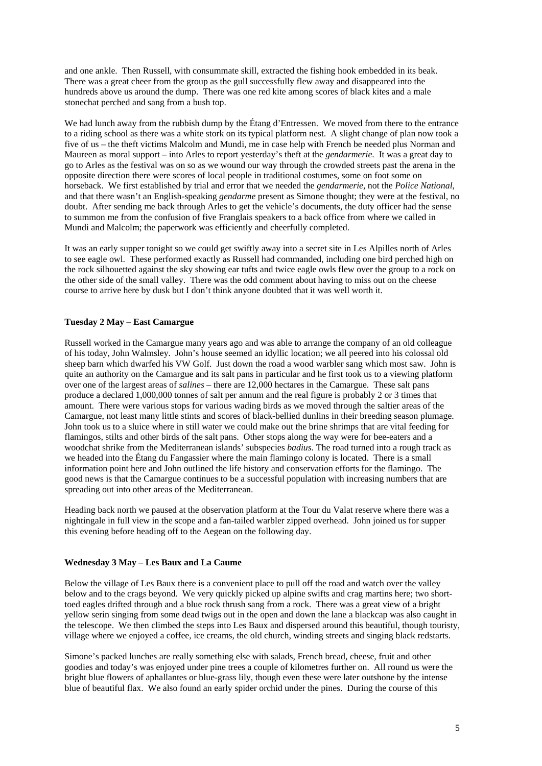and one ankle. Then Russell, with consummate skill, extracted the fishing hook embedded in its beak. There was a great cheer from the group as the gull successfully flew away and disappeared into the hundreds above us around the dump. There was one red kite among scores of black kites and a male stonechat perched and sang from a bush top.

We had lunch away from the rubbish dump by the Étang d'Entressen. We moved from there to the entrance to a riding school as there was a white stork on its typical platform nest. A slight change of plan now took a five of us – the theft victims Malcolm and Mundi, me in case help with French be needed plus Norman and Maureen as moral support – into Arles to report yesterday's theft at the *gendarmerie*. It was a great day to go to Arles as the festival was on so as we wound our way through the crowded streets past the arena in the opposite direction there were scores of local people in traditional costumes, some on foot some on horseback. We first established by trial and error that we needed the *gendarmerie,* not the *Police National*, and that there wasn't an English-speaking *gendarme* present as Simone thought; they were at the festival, no doubt. After sending me back through Arles to get the vehicle's documents, the duty officer had the sense to summon me from the confusion of five Franglais speakers to a back office from where we called in Mundi and Malcolm; the paperwork was efficiently and cheerfully completed.

It was an early supper tonight so we could get swiftly away into a secret site in Les Alpilles north of Arles to see eagle owl. These performed exactly as Russell had commanded, including one bird perched high on the rock silhouetted against the sky showing ear tufts and twice eagle owls flew over the group to a rock on the other side of the small valley. There was the odd comment about having to miss out on the cheese course to arrive here by dusk but I don't think anyone doubted that it was well worth it.

## **Tuesday 2 May** – **East Camargue**

Russell worked in the Camargue many years ago and was able to arrange the company of an old colleague of his today, John Walmsley. John's house seemed an idyllic location; we all peered into his colossal old sheep barn which dwarfed his VW Golf. Just down the road a wood warbler sang which most saw. John is quite an authority on the Camargue and its salt pans in particular and he first took us to a viewing platform over one of the largest areas of *salines* – there are 12,000 hectares in the Camargue. These salt pans produce a declared 1,000,000 tonnes of salt per annum and the real figure is probably 2 or 3 times that amount. There were various stops for various wading birds as we moved through the saltier areas of the Camargue, not least many little stints and scores of black-bellied dunlins in their breeding season plumage. John took us to a sluice where in still water we could make out the brine shrimps that are vital feeding for flamingos, stilts and other birds of the salt pans. Other stops along the way were for bee-eaters and a woodchat shrike from the Mediterranean islands' subspecies *badius.* The road turned into a rough track as we headed into the Étang du Fangassier where the main flamingo colony is located. There is a small information point here and John outlined the life history and conservation efforts for the flamingo. The good news is that the Camargue continues to be a successful population with increasing numbers that are spreading out into other areas of the Mediterranean.

Heading back north we paused at the observation platform at the Tour du Valat reserve where there was a nightingale in full view in the scope and a fan-tailed warbler zipped overhead. John joined us for supper this evening before heading off to the Aegean on the following day.

## **Wednesday 3 May** – **Les Baux and La Caume**

Below the village of Les Baux there is a convenient place to pull off the road and watch over the valley below and to the crags beyond. We very quickly picked up alpine swifts and crag martins here; two shorttoed eagles drifted through and a blue rock thrush sang from a rock. There was a great view of a bright yellow serin singing from some dead twigs out in the open and down the lane a blackcap was also caught in the telescope. We then climbed the steps into Les Baux and dispersed around this beautiful, though touristy, village where we enjoyed a coffee, ice creams, the old church, winding streets and singing black redstarts.

Simone's packed lunches are really something else with salads, French bread, cheese, fruit and other goodies and today's was enjoyed under pine trees a couple of kilometres further on. All round us were the bright blue flowers of aphallantes or blue-grass lily, though even these were later outshone by the intense blue of beautiful flax. We also found an early spider orchid under the pines. During the course of this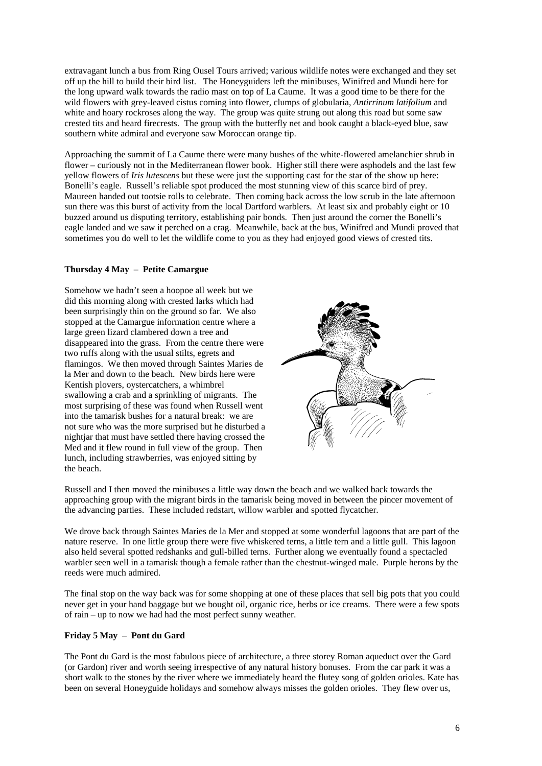extravagant lunch a bus from Ring Ousel Tours arrived; various wildlife notes were exchanged and they set off up the hill to build their bird list. The Honeyguiders left the minibuses, Winifred and Mundi here for the long upward walk towards the radio mast on top of La Caume. It was a good time to be there for the wild flowers with grey-leaved cistus coming into flower, clumps of globularia, *Antirrinum latifolium* and white and hoary rockroses along the way. The group was quite strung out along this road but some saw crested tits and heard firecrests. The group with the butterfly net and book caught a black-eyed blue, saw southern white admiral and everyone saw Moroccan orange tip.

Approaching the summit of La Caume there were many bushes of the white-flowered amelanchier shrub in flower – curiously not in the Mediterranean flower book. Higher still there were asphodels and the last few yellow flowers of *Iris lutescens* but these were just the supporting cast for the star of the show up here: Bonelli's eagle. Russell's reliable spot produced the most stunning view of this scarce bird of prey. Maureen handed out tootsie rolls to celebrate. Then coming back across the low scrub in the late afternoon sun there was this burst of activity from the local Dartford warblers. At least six and probably eight or 10 buzzed around us disputing territory, establishing pair bonds. Then just around the corner the Bonelli's eagle landed and we saw it perched on a crag. Meanwhile, back at the bus, Winifred and Mundi proved that sometimes you do well to let the wildlife come to you as they had enjoyed good views of crested tits.

#### **Thursday 4 May** – **Petite Camargue**

Somehow we hadn't seen a hoopoe all week but we did this morning along with crested larks which had been surprisingly thin on the ground so far. We also stopped at the Camargue information centre where a large green lizard clambered down a tree and disappeared into the grass. From the centre there were two ruffs along with the usual stilts, egrets and flamingos. We then moved through Saintes Maries de la Mer and down to the beach. New birds here were Kentish plovers, oystercatchers, a whimbrel swallowing a crab and a sprinkling of migrants. The most surprising of these was found when Russell went into the tamarisk bushes for a natural break: we are not sure who was the more surprised but he disturbed a nightjar that must have settled there having crossed the Med and it flew round in full view of the group. Then lunch, including strawberries, was enjoyed sitting by the beach.



Russell and I then moved the minibuses a little way down the beach and we walked back towards the approaching group with the migrant birds in the tamarisk being moved in between the pincer movement of the advancing parties. These included redstart, willow warbler and spotted flycatcher.

We drove back through Saintes Maries de la Mer and stopped at some wonderful lagoons that are part of the nature reserve. In one little group there were five whiskered terns, a little tern and a little gull. This lagoon also held several spotted redshanks and gull-billed terns. Further along we eventually found a spectacled warbler seen well in a tamarisk though a female rather than the chestnut-winged male. Purple herons by the reeds were much admired.

The final stop on the way back was for some shopping at one of these places that sell big pots that you could never get in your hand baggage but we bought oil, organic rice, herbs or ice creams. There were a few spots of rain – up to now we had had the most perfect sunny weather.

## **Friday 5 May** – **Pont du Gard**

The Pont du Gard is the most fabulous piece of architecture, a three storey Roman aqueduct over the Gard (or Gardon) river and worth seeing irrespective of any natural history bonuses. From the car park it was a short walk to the stones by the river where we immediately heard the flutey song of golden orioles. Kate has been on several Honeyguide holidays and somehow always misses the golden orioles. They flew over us,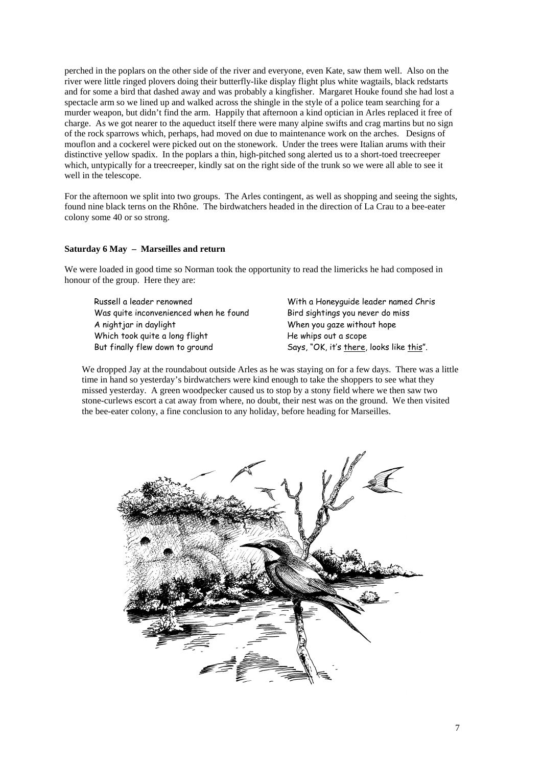perched in the poplars on the other side of the river and everyone, even Kate, saw them well. Also on the river were little ringed plovers doing their butterfly-like display flight plus white wagtails, black redstarts and for some a bird that dashed away and was probably a kingfisher. Margaret Houke found she had lost a spectacle arm so we lined up and walked across the shingle in the style of a police team searching for a murder weapon, but didn't find the arm. Happily that afternoon a kind optician in Arles replaced it free of charge. As we got nearer to the aqueduct itself there were many alpine swifts and crag martins but no sign of the rock sparrows which, perhaps, had moved on due to maintenance work on the arches. Designs of mouflon and a cockerel were picked out on the stonework. Under the trees were Italian arums with their distinctive yellow spadix. In the poplars a thin, high-pitched song alerted us to a short-toed treecreeper which, untypically for a treecreeper, kindly sat on the right side of the trunk so we were all able to see it well in the telescope.

For the afternoon we split into two groups. The Arles contingent, as well as shopping and seeing the sights, found nine black terns on the Rhône. The birdwatchers headed in the direction of La Crau to a bee-eater colony some 40 or so strong.

#### **Saturday 6 May – Marseilles and return**

We were loaded in good time so Norman took the opportunity to read the limericks he had composed in honour of the group. Here they are:

 Russell a leader renowned Was quite inconvenienced when he found A nightjar in daylight Which took quite a long flight But finally flew down to ground

With a Honeyguide leader named Chris Bird sightings you never do miss When you gaze without hope He whips out a scope Says, "OK, it's there, looks like this".

We dropped Jay at the roundabout outside Arles as he was staying on for a few days. There was a little time in hand so yesterday's birdwatchers were kind enough to take the shoppers to see what they missed yesterday. A green woodpecker caused us to stop by a stony field where we then saw two stone-curlews escort a cat away from where, no doubt, their nest was on the ground. We then visited the bee-eater colony, a fine conclusion to any holiday, before heading for Marseilles.

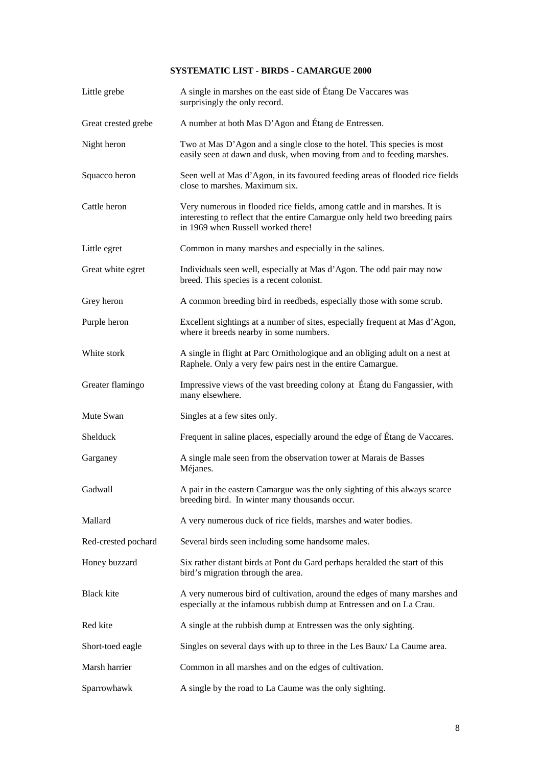# **SYSTEMATIC LIST - BIRDS - CAMARGUE 2000**

| Little grebe        | A single in marshes on the east side of Étang De Vaccares was<br>surprisingly the only record.                                                                                                 |
|---------------------|------------------------------------------------------------------------------------------------------------------------------------------------------------------------------------------------|
| Great crested grebe | A number at both Mas D'Agon and Étang de Entressen.                                                                                                                                            |
| Night heron         | Two at Mas D'Agon and a single close to the hotel. This species is most<br>easily seen at dawn and dusk, when moving from and to feeding marshes.                                              |
| Squacco heron       | Seen well at Mas d'Agon, in its favoured feeding areas of flooded rice fields<br>close to marshes. Maximum six.                                                                                |
| Cattle heron        | Very numerous in flooded rice fields, among cattle and in marshes. It is<br>interesting to reflect that the entire Camargue only held two breeding pairs<br>in 1969 when Russell worked there! |
| Little egret        | Common in many marshes and especially in the salines.                                                                                                                                          |
| Great white egret   | Individuals seen well, especially at Mas d'Agon. The odd pair may now<br>breed. This species is a recent colonist.                                                                             |
| Grey heron          | A common breeding bird in reedbeds, especially those with some scrub.                                                                                                                          |
| Purple heron        | Excellent sightings at a number of sites, especially frequent at Mas d'Agon,<br>where it breeds nearby in some numbers.                                                                        |
| White stork         | A single in flight at Parc Ornithologique and an obliging adult on a nest at<br>Raphele. Only a very few pairs nest in the entire Camargue.                                                    |
| Greater flamingo    | Impressive views of the vast breeding colony at Étang du Fangassier, with<br>many elsewhere.                                                                                                   |
| Mute Swan           | Singles at a few sites only.                                                                                                                                                                   |
| Shelduck            | Frequent in saline places, especially around the edge of Étang de Vaccares.                                                                                                                    |
| Garganey            | A single male seen from the observation tower at Marais de Basses<br>Méjanes.                                                                                                                  |
| Gadwall             | A pair in the eastern Camargue was the only sighting of this always scarce<br>breeding bird. In winter many thousands occur.                                                                   |
| Mallard             | A very numerous duck of rice fields, marshes and water bodies.                                                                                                                                 |
| Red-crested pochard | Several birds seen including some handsome males.                                                                                                                                              |
| Honey buzzard       | Six rather distant birds at Pont du Gard perhaps heralded the start of this<br>bird's migration through the area.                                                                              |
| Black kite          | A very numerous bird of cultivation, around the edges of many marshes and<br>especially at the infamous rubbish dump at Entressen and on La Crau.                                              |
| Red kite            | A single at the rubbish dump at Entressen was the only sighting.                                                                                                                               |
| Short-toed eagle    | Singles on several days with up to three in the Les Baux/La Caume area.                                                                                                                        |
| Marsh harrier       | Common in all marshes and on the edges of cultivation.                                                                                                                                         |
| Sparrowhawk         | A single by the road to La Caume was the only sighting.                                                                                                                                        |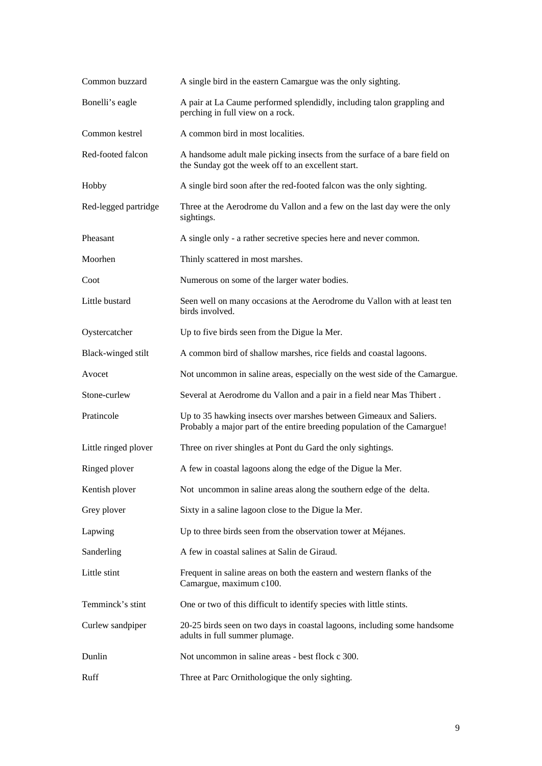| Common buzzard       | A single bird in the eastern Camargue was the only sighting.                                                                                   |
|----------------------|------------------------------------------------------------------------------------------------------------------------------------------------|
| Bonelli's eagle      | A pair at La Caume performed splendidly, including talon grappling and<br>perching in full view on a rock.                                     |
| Common kestrel       | A common bird in most localities.                                                                                                              |
| Red-footed falcon    | A handsome adult male picking insects from the surface of a bare field on<br>the Sunday got the week off to an excellent start.                |
| Hobby                | A single bird soon after the red-footed falcon was the only sighting.                                                                          |
| Red-legged partridge | Three at the Aerodrome du Vallon and a few on the last day were the only<br>sightings.                                                         |
| Pheasant             | A single only - a rather secretive species here and never common.                                                                              |
| Moorhen              | Thinly scattered in most marshes.                                                                                                              |
| Coot                 | Numerous on some of the larger water bodies.                                                                                                   |
| Little bustard       | Seen well on many occasions at the Aerodrome du Vallon with at least ten<br>birds involved.                                                    |
| Oystercatcher        | Up to five birds seen from the Digue la Mer.                                                                                                   |
| Black-winged stilt   | A common bird of shallow marshes, rice fields and coastal lagoons.                                                                             |
| Avocet               | Not uncommon in saline areas, especially on the west side of the Camargue.                                                                     |
| Stone-curlew         | Several at Aerodrome du Vallon and a pair in a field near Mas Thibert.                                                                         |
| Pratincole           | Up to 35 hawking insects over marshes between Gimeaux and Saliers.<br>Probably a major part of the entire breeding population of the Camargue! |
| Little ringed plover | Three on river shingles at Pont du Gard the only sightings.                                                                                    |
| Ringed plover        | A few in coastal lagoons along the edge of the Digue la Mer.                                                                                   |
| Kentish plover       | Not uncommon in saline areas along the southern edge of the delta.                                                                             |
| Grey plover          | Sixty in a saline lagoon close to the Digue la Mer.                                                                                            |
| Lapwing              | Up to three birds seen from the observation tower at Méjanes.                                                                                  |
| Sanderling           | A few in coastal salines at Salin de Giraud.                                                                                                   |
| Little stint         | Frequent in saline areas on both the eastern and western flanks of the<br>Camargue, maximum c100.                                              |
| Temminck's stint     | One or two of this difficult to identify species with little stints.                                                                           |
| Curlew sandpiper     | 20-25 birds seen on two days in coastal lagoons, including some handsome<br>adults in full summer plumage.                                     |
| Dunlin               | Not uncommon in saline areas - best flock c 300.                                                                                               |
| Ruff                 | Three at Parc Ornithologique the only sighting.                                                                                                |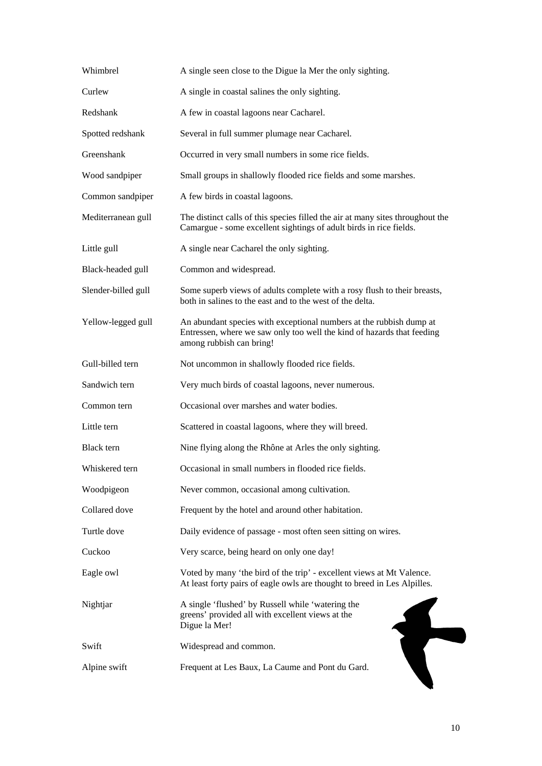| Whimbrel            | A single seen close to the Digue la Mer the only sighting.                                                                                                                |
|---------------------|---------------------------------------------------------------------------------------------------------------------------------------------------------------------------|
| Curlew              | A single in coastal salines the only sighting.                                                                                                                            |
| Redshank            | A few in coastal lagoons near Cacharel.                                                                                                                                   |
| Spotted redshank    | Several in full summer plumage near Cacharel.                                                                                                                             |
| Greenshank          | Occurred in very small numbers in some rice fields.                                                                                                                       |
| Wood sandpiper      | Small groups in shallowly flooded rice fields and some marshes.                                                                                                           |
| Common sandpiper    | A few birds in coastal lagoons.                                                                                                                                           |
| Mediterranean gull  | The distinct calls of this species filled the air at many sites throughout the<br>Camargue - some excellent sightings of adult birds in rice fields.                      |
| Little gull         | A single near Cacharel the only sighting.                                                                                                                                 |
| Black-headed gull   | Common and widespread.                                                                                                                                                    |
| Slender-billed gull | Some superb views of adults complete with a rosy flush to their breasts,<br>both in salines to the east and to the west of the delta.                                     |
| Yellow-legged gull  | An abundant species with exceptional numbers at the rubbish dump at<br>Entressen, where we saw only too well the kind of hazards that feeding<br>among rubbish can bring! |
| Gull-billed tern    | Not uncommon in shallowly flooded rice fields.                                                                                                                            |
| Sandwich tern       | Very much birds of coastal lagoons, never numerous.                                                                                                                       |
| Common tern         | Occasional over marshes and water bodies.                                                                                                                                 |
| Little tern         | Scattered in coastal lagoons, where they will breed.                                                                                                                      |
| Black tern          | Nine flying along the Rhône at Arles the only sighting.                                                                                                                   |
| Whiskered tern      | Occasional in small numbers in flooded rice fields.                                                                                                                       |
| Woodpigeon          | Never common, occasional among cultivation.                                                                                                                               |
| Collared dove       | Frequent by the hotel and around other habitation.                                                                                                                        |
| Turtle dove         | Daily evidence of passage - most often seen sitting on wires.                                                                                                             |
| Cuckoo              | Very scarce, being heard on only one day!                                                                                                                                 |
| Eagle owl           | Voted by many 'the bird of the trip' - excellent views at Mt Valence.<br>At least forty pairs of eagle owls are thought to breed in Les Alpilles.                         |
| Nightjar            | A single 'flushed' by Russell while 'watering the<br>greens' provided all with excellent views at the<br>Digue la Mer!                                                    |
| Swift               | Widespread and common.                                                                                                                                                    |
| Alpine swift        | Frequent at Les Baux, La Caume and Pont du Gard.                                                                                                                          |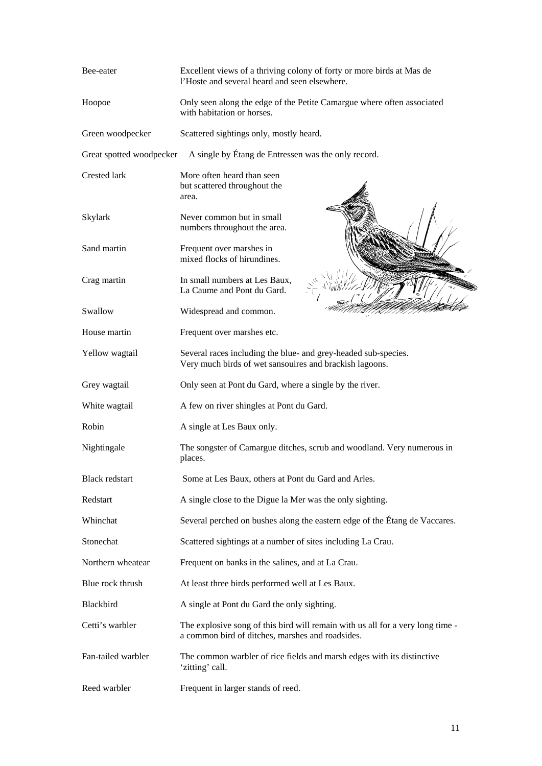| Bee-eater                | Excellent views of a thriving colony of forty or more birds at Mas de<br>l'Hoste and several heard and seen elsewhere.             |
|--------------------------|------------------------------------------------------------------------------------------------------------------------------------|
| Hoopoe                   | Only seen along the edge of the Petite Camargue where often associated<br>with habitation or horses.                               |
| Green woodpecker         | Scattered sightings only, mostly heard.                                                                                            |
| Great spotted woodpecker | A single by Étang de Entressen was the only record.                                                                                |
| <b>Crested lark</b>      | More often heard than seen<br>but scattered throughout the<br>area.                                                                |
| Skylark                  | Never common but in small<br>numbers throughout the area.                                                                          |
| Sand martin              | Frequent over marshes in<br>mixed flocks of hirundines.                                                                            |
| Crag martin              | In small numbers at Les Baux,<br>La Caume and Pont du Gard.                                                                        |
| Swallow                  | Widespread and common.                                                                                                             |
| House martin             | Frequent over marshes etc.                                                                                                         |
| Yellow wagtail           | Several races including the blue- and grey-headed sub-species.<br>Very much birds of wet sansouires and brackish lagoons.          |
| Grey wagtail             | Only seen at Pont du Gard, where a single by the river.                                                                            |
| White wagtail            | A few on river shingles at Pont du Gard.                                                                                           |
| Robin                    | A single at Les Baux only.                                                                                                         |
| Nightingale              | The songster of Camargue ditches, scrub and woodland. Very numerous in<br>places.                                                  |
| <b>Black redstart</b>    | Some at Les Baux, others at Pont du Gard and Arles.                                                                                |
| Redstart                 | A single close to the Digue la Mer was the only sighting.                                                                          |
| Whinchat                 | Several perched on bushes along the eastern edge of the Étang de Vaccares.                                                         |
| Stonechat                | Scattered sightings at a number of sites including La Crau.                                                                        |
| Northern wheatear        | Frequent on banks in the salines, and at La Crau.                                                                                  |
| Blue rock thrush         | At least three birds performed well at Les Baux.                                                                                   |
| Blackbird                | A single at Pont du Gard the only sighting.                                                                                        |
| Cetti's warbler          | The explosive song of this bird will remain with us all for a very long time -<br>a common bird of ditches, marshes and roadsides. |
| Fan-tailed warbler       | The common warbler of rice fields and marsh edges with its distinctive<br>'zitting' call.                                          |
| Reed warbler             | Frequent in larger stands of reed.                                                                                                 |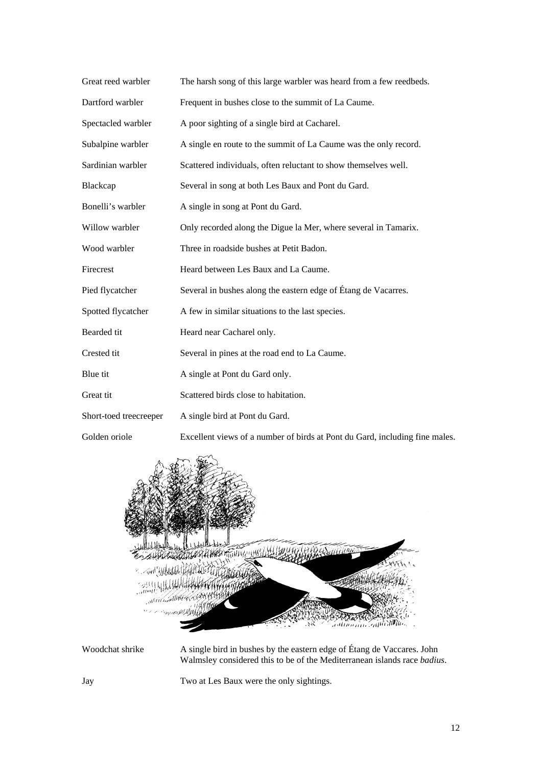| Great reed warbler     | The harsh song of this large warbler was heard from a few reedbeds.         |
|------------------------|-----------------------------------------------------------------------------|
| Dartford warbler       | Frequent in bushes close to the summit of La Caume.                         |
| Spectacled warbler     | A poor sighting of a single bird at Cacharel.                               |
| Subalpine warbler      | A single en route to the summit of La Caume was the only record.            |
| Sardinian warbler      | Scattered individuals, often reluctant to show themselves well.             |
| Blackcap               | Several in song at both Les Baux and Pont du Gard.                          |
| Bonelli's warbler      | A single in song at Pont du Gard.                                           |
| Willow warbler         | Only recorded along the Digue la Mer, where several in Tamarix.             |
| Wood warbler           | Three in roadside bushes at Petit Badon.                                    |
| Firecrest              | Heard between Les Baux and La Caume.                                        |
| Pied flycatcher        | Several in bushes along the eastern edge of Étang de Vacarres.              |
| Spotted flycatcher     | A few in similar situations to the last species.                            |
| Bearded tit            | Heard near Cacharel only.                                                   |
| Crested tit            | Several in pines at the road end to La Caume.                               |
| Blue tit               | A single at Pont du Gard only.                                              |
| Great tit              | Scattered birds close to habitation.                                        |
| Short-toed treecreeper | A single bird at Pont du Gard.                                              |
| Golden oriole          | Excellent views of a number of birds at Pont du Gard, including fine males. |



Woodchat shrike A single bird in bushes by the eastern edge of Étang de Vaccares. John Walmsley considered this to be of the Mediterranean islands race *badius*.

Jay Two at Les Baux were the only sightings.